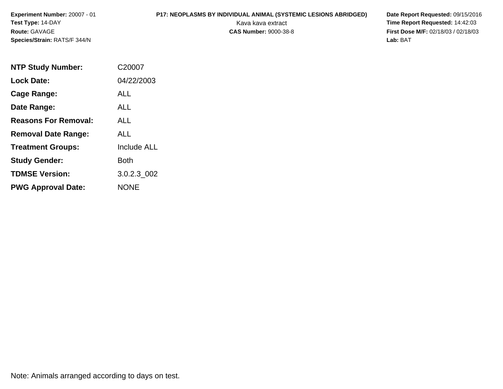# **P17: NEOPLASMS BY INDIVIDUAL ANIMAL (SYSTEMIC LESIONS ABRIDGED) Date Report Requested: 09/15/2016<br>Kava kava extract <b>Time Report Requested:** 14:42:03

 Kava kava extract **Time Report Requested:** 14:42:03 **First Dose M/F:** 02/18/03 / 02/18/03<br>Lab: BAT **Lab:** BAT

| <b>NTP Study Number:</b>    | C20007             |
|-----------------------------|--------------------|
| <b>Lock Date:</b>           | 04/22/2003         |
| Cage Range:                 | ALL                |
| Date Range:                 | ALL.               |
| <b>Reasons For Removal:</b> | ALL                |
| <b>Removal Date Range:</b>  | ALL                |
| <b>Treatment Groups:</b>    | <b>Include ALL</b> |
| <b>Study Gender:</b>        | <b>Both</b>        |
| <b>TDMSE Version:</b>       | 3.0.2.3_002        |
| <b>PWG Approval Date:</b>   | <b>NONE</b>        |

Note: Animals arranged according to days on test.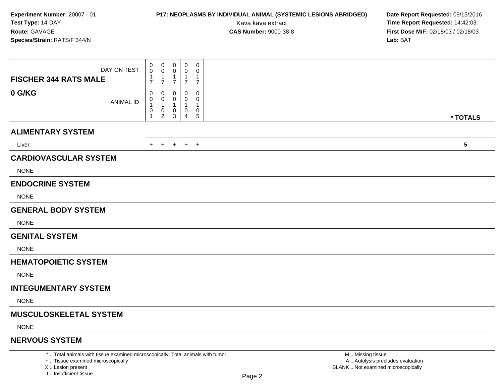## **P17: NEOPLASMS BY INDIVIDUAL ANIMAL (SYSTEMIC LESIONS ABRIDGED) Date Report Requested:** 09/15/2016

Kava kava extract **Time Report Requested:** 14:42:03<br>**CAS Number:** 9000-38-8 **Time Report Requested:** 14:42:03 **First Dose M/F:** 02/18/03 / 02/18/03<br>Lab: BAT **Lab:** BAT

| DAY ON TEST<br><b>FISCHER 344 RATS MALE</b>                                     | 0<br>0<br>1<br>$\overline{7}$ | 0<br>0<br>1<br>$\overline{7}$      | $\mathbf 0$<br>0<br>-1<br>$\overline{7}$ | $\mathbf 0$<br>$\mathbf 0$<br>$\mathbf{1}$<br>$\overline{7}$ | 0<br>0<br>$\mathbf{1}$<br>$\overline{7}$ |                   |  |
|---------------------------------------------------------------------------------|-------------------------------|------------------------------------|------------------------------------------|--------------------------------------------------------------|------------------------------------------|-------------------|--|
| 0 G/KG<br><b>ANIMAL ID</b>                                                      | 0<br>0<br>1<br>0<br>1         | 0<br>0<br>1<br>0<br>$\overline{a}$ | 0<br>3                                   | 0<br>$\Omega$<br>0<br>4                                      | 0<br>$\Omega$<br>-1<br>0<br>$\sqrt{5}$   | * TOTALS          |  |
| <b>ALIMENTARY SYSTEM</b>                                                        |                               |                                    |                                          |                                                              |                                          |                   |  |
| Liver                                                                           | $+$                           | $+$                                |                                          | $+$ $+$ $+$                                                  |                                          | $5\phantom{.0}$   |  |
| <b>CARDIOVASCULAR SYSTEM</b>                                                    |                               |                                    |                                          |                                                              |                                          |                   |  |
| <b>NONE</b>                                                                     |                               |                                    |                                          |                                                              |                                          |                   |  |
| <b>ENDOCRINE SYSTEM</b>                                                         |                               |                                    |                                          |                                                              |                                          |                   |  |
| <b>NONE</b>                                                                     |                               |                                    |                                          |                                                              |                                          |                   |  |
| <b>GENERAL BODY SYSTEM</b>                                                      |                               |                                    |                                          |                                                              |                                          |                   |  |
| <b>NONE</b>                                                                     |                               |                                    |                                          |                                                              |                                          |                   |  |
| <b>GENITAL SYSTEM</b>                                                           |                               |                                    |                                          |                                                              |                                          |                   |  |
| <b>NONE</b>                                                                     |                               |                                    |                                          |                                                              |                                          |                   |  |
| <b>HEMATOPOIETIC SYSTEM</b>                                                     |                               |                                    |                                          |                                                              |                                          |                   |  |
| <b>NONE</b>                                                                     |                               |                                    |                                          |                                                              |                                          |                   |  |
| <b>INTEGUMENTARY SYSTEM</b>                                                     |                               |                                    |                                          |                                                              |                                          |                   |  |
| <b>NONE</b>                                                                     |                               |                                    |                                          |                                                              |                                          |                   |  |
| <b>MUSCULOSKELETAL SYSTEM</b>                                                   |                               |                                    |                                          |                                                              |                                          |                   |  |
| <b>NONE</b>                                                                     |                               |                                    |                                          |                                                              |                                          |                   |  |
| <b>NERVOUS SYSTEM</b>                                                           |                               |                                    |                                          |                                                              |                                          |                   |  |
| *  Total animals with tissue examined microscopically; Total animals with tumor |                               |                                    |                                          |                                                              |                                          | M  Missing tissue |  |

+ .. Tissue examined microscopically

X .. Lesion present

I .. Insufficient tissue

 M .. Missing tissue A .. Autolysis precludes evaluationLesion present BLANK .. Not examined microscopically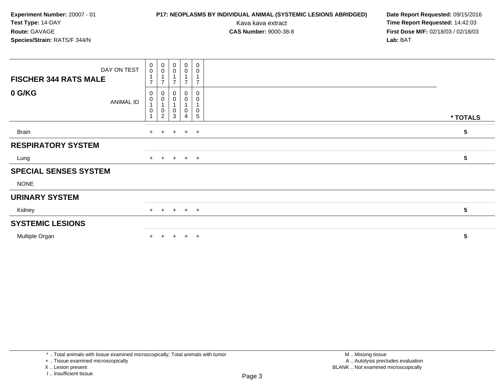## **P17: NEOPLASMS BY INDIVIDUAL ANIMAL (SYSTEMIC LESIONS ABRIDGED) Date Report Requested:** 09/15/2016

Kava kava extract **Time Report Requested:** 14:42:03<br>**CAS Number:** 9000-38-8 **Time Report Requested:** 14:42:03 **First Dose M/F:** 02/18/03 / 02/18/03<br>Lab: BAT **Lab:** BAT

| DAY ON TEST<br><b>FISCHER 344 RATS MALE</b> | $\pmb{0}$<br>$\mathbf 0$<br>$\overline{ }$ | $\begin{smallmatrix} 0\\0 \end{smallmatrix}$<br>$\overline{1}$<br>$\overline{7}$ | $_{\rm 0}^{\rm 0}$<br>1<br>$\overline{7}$      | $\begin{smallmatrix} 0\\0 \end{smallmatrix}$<br>$\overline{7}$ | 0<br>$\pmb{0}$<br>$\overline{7}$  |                 |
|---------------------------------------------|--------------------------------------------|----------------------------------------------------------------------------------|------------------------------------------------|----------------------------------------------------------------|-----------------------------------|-----------------|
| 0 G/KG<br>ANIMAL ID                         | 0<br>0<br>0                                | 0<br>$\pmb{0}$<br>0<br>$\overline{2}$                                            | $\,0\,$<br>$\pmb{0}$<br>$\mathbf{1}$<br>0<br>3 | 0<br>$\mathbf 0$<br>0<br>$\overline{4}$                        | $\pmb{0}$<br>0<br>0<br>$\sqrt{5}$ | * TOTALS        |
| <b>Brain</b>                                | $+$                                        | $+$                                                                              | $+$                                            | $+$ $+$                                                        |                                   | 5               |
| <b>RESPIRATORY SYSTEM</b>                   |                                            |                                                                                  |                                                |                                                                |                                   |                 |
| Lung                                        |                                            |                                                                                  | + + + + +                                      |                                                                |                                   | 5               |
| <b>SPECIAL SENSES SYSTEM</b>                |                                            |                                                                                  |                                                |                                                                |                                   |                 |
| <b>NONE</b>                                 |                                            |                                                                                  |                                                |                                                                |                                   |                 |
| <b>URINARY SYSTEM</b>                       |                                            |                                                                                  |                                                |                                                                |                                   |                 |
| Kidney                                      |                                            |                                                                                  | $+$ + + + +                                    |                                                                |                                   | $5\phantom{.0}$ |
| <b>SYSTEMIC LESIONS</b>                     |                                            |                                                                                  |                                                |                                                                |                                   |                 |
| Multiple Organ                              | $+$                                        | $\ddot{}$                                                                        | $+$                                            | $+$                                                            | $+$                               | 5               |

<sup>\* ..</sup> Total animals with tissue examined microscopically; Total animals with tumor

<sup>+ ..</sup> Tissue examined microscopically

X .. Lesion present

I .. Insufficient tissue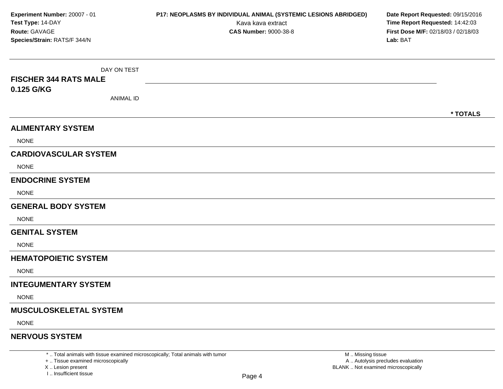| Experiment Number: 20007 - 01<br>Test Type: 14-DAY<br>Route: GAVAGE<br>Species/Strain: RATS/F 344/N | P17: NEOPLASMS BY INDIVIDUAL ANIMAL (SYSTEMIC LESIONS ABRIDGED)<br>Kava kava extract<br><b>CAS Number: 9000-38-8</b> | Date Report Requested: 09/15/2016<br>Time Report Requested: 14:42:03<br>First Dose M/F: 02/18/03 / 02/18/03<br>Lab: BAT |
|-----------------------------------------------------------------------------------------------------|----------------------------------------------------------------------------------------------------------------------|-------------------------------------------------------------------------------------------------------------------------|
| DAY ON TEST<br><b>FISCHER 344 RATS MALE</b><br>0.125 G/KG<br><b>ANIMAL ID</b>                       |                                                                                                                      |                                                                                                                         |
| <b>ALIMENTARY SYSTEM</b><br><b>NONE</b>                                                             |                                                                                                                      | * TOTALS                                                                                                                |
| <b>CARDIOVASCULAR SYSTEM</b><br><b>NONE</b>                                                         |                                                                                                                      |                                                                                                                         |
| <b>ENDOCRINE SYSTEM</b><br><b>NONE</b>                                                              |                                                                                                                      |                                                                                                                         |
| <b>GENERAL BODY SYSTEM</b><br><b>NONE</b>                                                           |                                                                                                                      |                                                                                                                         |
| <b>GENITAL SYSTEM</b><br><b>NONE</b>                                                                |                                                                                                                      |                                                                                                                         |
| <b>HEMATOPOIETIC SYSTEM</b><br><b>NONE</b>                                                          |                                                                                                                      |                                                                                                                         |
| <b>INTEGUMENTARY SYSTEM</b><br><b>NONE</b>                                                          |                                                                                                                      |                                                                                                                         |
| <b>MUSCULOSKELETAL SYSTEM</b><br><b>NONE</b>                                                        |                                                                                                                      |                                                                                                                         |
| <b>NERVOUS SYSTEM</b>                                                                               |                                                                                                                      |                                                                                                                         |

X .. Lesion present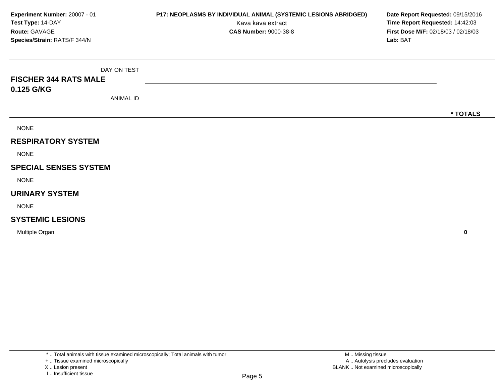| Experiment Number: 20007 - 01<br>Test Type: 14-DAY<br>Route: GAVAGE<br>Species/Strain: RATS/F 344/N | P17: NEOPLASMS BY INDIVIDUAL ANIMAL (SYSTEMIC LESIONS ABRIDGED)<br>Kava kava extract<br><b>CAS Number: 9000-38-8</b> | Date Report Requested: 09/15/2016<br>Time Report Requested: 14:42:03<br>First Dose M/F: 02/18/03 / 02/18/03<br>Lab: BAT |  |  |  |
|-----------------------------------------------------------------------------------------------------|----------------------------------------------------------------------------------------------------------------------|-------------------------------------------------------------------------------------------------------------------------|--|--|--|
|                                                                                                     |                                                                                                                      |                                                                                                                         |  |  |  |
| DAY ON TEST                                                                                         |                                                                                                                      |                                                                                                                         |  |  |  |
| <b>FISCHER 344 RATS MALE</b>                                                                        |                                                                                                                      |                                                                                                                         |  |  |  |
| 0.125 G/KG                                                                                          |                                                                                                                      |                                                                                                                         |  |  |  |
| <b>ANIMAL ID</b>                                                                                    |                                                                                                                      |                                                                                                                         |  |  |  |
|                                                                                                     |                                                                                                                      | * TOTALS                                                                                                                |  |  |  |
| <b>NONE</b>                                                                                         |                                                                                                                      |                                                                                                                         |  |  |  |
| <b>RESPIRATORY SYSTEM</b>                                                                           |                                                                                                                      |                                                                                                                         |  |  |  |
| <b>NONE</b>                                                                                         |                                                                                                                      |                                                                                                                         |  |  |  |
| <b>SPECIAL SENSES SYSTEM</b>                                                                        |                                                                                                                      |                                                                                                                         |  |  |  |
| <b>NONE</b>                                                                                         |                                                                                                                      |                                                                                                                         |  |  |  |
| <b>URINARY SYSTEM</b>                                                                               |                                                                                                                      |                                                                                                                         |  |  |  |
| <b>NONE</b>                                                                                         |                                                                                                                      |                                                                                                                         |  |  |  |
| <b>SYSTEMIC LESIONS</b>                                                                             |                                                                                                                      |                                                                                                                         |  |  |  |
| Multiple Organ                                                                                      |                                                                                                                      | $\mathbf 0$                                                                                                             |  |  |  |

X .. Lesion present

I .. Insufficient tissue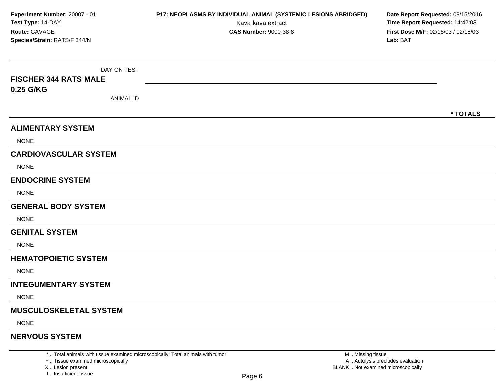| Experiment Number: 20007 - 01<br>Test Type: 14-DAY<br>Route: GAVAGE<br>Species/Strain: RATS/F 344/N | P17: NEOPLASMS BY INDIVIDUAL ANIMAL (SYSTEMIC LESIONS ABRIDGED)<br>Kava kava extract<br><b>CAS Number: 9000-38-8</b> | Date Report Requested: 09/15/2016<br>Time Report Requested: 14:42:03<br>First Dose M/F: 02/18/03 / 02/18/03<br>Lab: BAT |
|-----------------------------------------------------------------------------------------------------|----------------------------------------------------------------------------------------------------------------------|-------------------------------------------------------------------------------------------------------------------------|
| DAY ON TEST                                                                                         |                                                                                                                      |                                                                                                                         |
| <b>FISCHER 344 RATS MALE</b>                                                                        |                                                                                                                      |                                                                                                                         |
| 0.25 G/KG<br><b>ANIMAL ID</b>                                                                       |                                                                                                                      |                                                                                                                         |
|                                                                                                     |                                                                                                                      | * TOTALS                                                                                                                |
| <b>ALIMENTARY SYSTEM</b>                                                                            |                                                                                                                      |                                                                                                                         |
| <b>NONE</b>                                                                                         |                                                                                                                      |                                                                                                                         |
| <b>CARDIOVASCULAR SYSTEM</b>                                                                        |                                                                                                                      |                                                                                                                         |
| <b>NONE</b>                                                                                         |                                                                                                                      |                                                                                                                         |
| <b>ENDOCRINE SYSTEM</b>                                                                             |                                                                                                                      |                                                                                                                         |
| <b>NONE</b>                                                                                         |                                                                                                                      |                                                                                                                         |
| <b>GENERAL BODY SYSTEM</b>                                                                          |                                                                                                                      |                                                                                                                         |
| <b>NONE</b>                                                                                         |                                                                                                                      |                                                                                                                         |
| <b>GENITAL SYSTEM</b>                                                                               |                                                                                                                      |                                                                                                                         |
| <b>NONE</b>                                                                                         |                                                                                                                      |                                                                                                                         |
| <b>HEMATOPOIETIC SYSTEM</b>                                                                         |                                                                                                                      |                                                                                                                         |
| <b>NONE</b>                                                                                         |                                                                                                                      |                                                                                                                         |
| <b>INTEGUMENTARY SYSTEM</b>                                                                         |                                                                                                                      |                                                                                                                         |
| <b>NONE</b>                                                                                         |                                                                                                                      |                                                                                                                         |
| <b>MUSCULOSKELETAL SYSTEM</b>                                                                       |                                                                                                                      |                                                                                                                         |
| <b>NONE</b>                                                                                         |                                                                                                                      |                                                                                                                         |
| <b>NERVOUS SYSTEM</b>                                                                               |                                                                                                                      |                                                                                                                         |

X .. Lesion present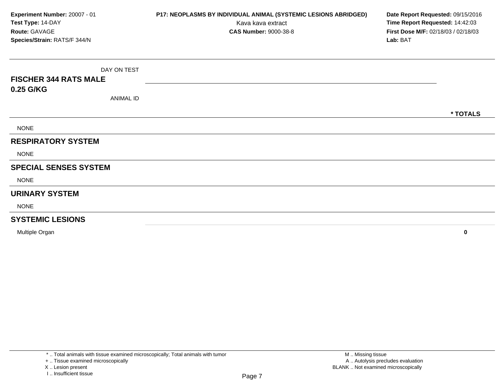| Experiment Number: 20007 - 01<br>Test Type: 14-DAY<br>Route: GAVAGE<br>Species/Strain: RATS/F 344/N | P17: NEOPLASMS BY INDIVIDUAL ANIMAL (SYSTEMIC LESIONS ABRIDGED)<br>Kava kava extract<br><b>CAS Number: 9000-38-8</b> | Date Report Requested: 09/15/2016<br>Time Report Requested: 14:42:03<br>First Dose M/F: 02/18/03 / 02/18/03<br>Lab: BAT |
|-----------------------------------------------------------------------------------------------------|----------------------------------------------------------------------------------------------------------------------|-------------------------------------------------------------------------------------------------------------------------|
| DAY ON TEST                                                                                         |                                                                                                                      |                                                                                                                         |
| <b>FISCHER 344 RATS MALE</b>                                                                        |                                                                                                                      |                                                                                                                         |
| 0.25 G/KG                                                                                           |                                                                                                                      |                                                                                                                         |
| <b>ANIMAL ID</b>                                                                                    |                                                                                                                      |                                                                                                                         |
|                                                                                                     |                                                                                                                      | * TOTALS                                                                                                                |
| <b>NONE</b>                                                                                         |                                                                                                                      |                                                                                                                         |
| <b>RESPIRATORY SYSTEM</b>                                                                           |                                                                                                                      |                                                                                                                         |
| <b>NONE</b>                                                                                         |                                                                                                                      |                                                                                                                         |
| <b>SPECIAL SENSES SYSTEM</b>                                                                        |                                                                                                                      |                                                                                                                         |
| <b>NONE</b>                                                                                         |                                                                                                                      |                                                                                                                         |
| <b>URINARY SYSTEM</b>                                                                               |                                                                                                                      |                                                                                                                         |
| <b>NONE</b>                                                                                         |                                                                                                                      |                                                                                                                         |
| <b>SYSTEMIC LESIONS</b>                                                                             |                                                                                                                      |                                                                                                                         |
| Multiple Organ                                                                                      |                                                                                                                      | $\mathbf 0$                                                                                                             |

X .. Lesion present

I .. Insufficient tissue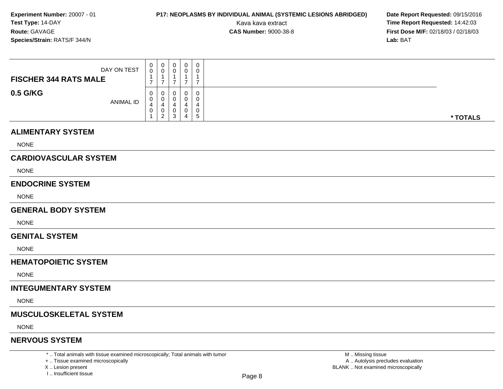## **P17: NEOPLASMS BY INDIVIDUAL ANIMAL (SYSTEMIC LESIONS ABRIDGED) Date Report Requested: 09/15/2016<br>Kava kava extract <b>Time Report Requested: 14:42:03**

Kava kava extract **Time Report Requested:** 14:42:03<br>**CAS Number:** 9000-38-8 **Time Report Requested:** 14:42:03 **First Dose M/F:** 02/18/03 / 02/18/03<br>**Lab:** BAT **Lab:** BAT

| DAY ON TEST<br><b>FISCHER 344 RATS MALE</b> | 0<br>0                | 0<br>0                | 0<br>v           | 0<br>0           |                   |          |
|---------------------------------------------|-----------------------|-----------------------|------------------|------------------|-------------------|----------|
| 0.5 G/KG<br>ANIMAL ID                       | $\mathbf 0$<br>U<br>0 | 0<br>0<br>4<br>0<br>റ | U<br>U<br>◡<br>3 | 0<br>0<br>0<br>4 | -<br>$\mathbf{D}$ | * TOTALS |

#### **ALIMENTARY SYSTEM**

NONE

### **CARDIOVASCULAR SYSTEM**

NONE

#### **ENDOCRINE SYSTEM**

NONE

#### **GENERAL BODY SYSTEM**

**NONE** 

#### **GENITAL SYSTEM**

NONE

#### **HEMATOPOIETIC SYSTEM**

NONE

#### **INTEGUMENTARY SYSTEM**

NONE

#### **MUSCULOSKELETAL SYSTEM**

NONE

#### **NERVOUS SYSTEM**

\* .. Total animals with tissue examined microscopically; Total animals with tumor

+ .. Tissue examined microscopically

X .. Lesion present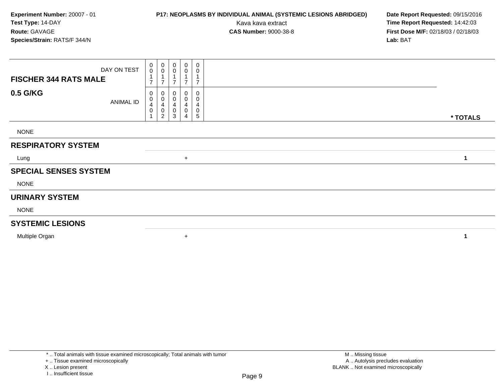## **P17: NEOPLASMS BY INDIVIDUAL ANIMAL (SYSTEMIC LESIONS ABRIDGED) Date Report Requested:** 09/15/2016

Kava kava extract **Time Report Requested:** 14:42:03<br>**CAS Number:** 9000-38-8 **Time Report Requested:** 14:42:03 **First Dose M/F:** 02/18/03 / 02/18/03<br>Lab: BAT **Lab:** BAT

| <b>FISCHER 344 RATS MALE</b> | DAY ON TEST      | 0<br>$\mathsf{O}\xspace$<br>$\rightarrow$ | $_{\rm 0}^{\rm 0}$<br>$\overline{ }$                                     | 0<br>$\mathbf 0$<br>$\overline{A}$<br>$\overline{ }$ | $\pmb{0}$<br>0<br>$\overline{ }$ | $\pmb{0}$<br>0<br>$\overline{ }$ |          |  |
|------------------------------|------------------|-------------------------------------------|--------------------------------------------------------------------------|------------------------------------------------------|----------------------------------|----------------------------------|----------|--|
| 0.5 G/KG                     | <b>ANIMAL ID</b> | 0<br>0<br>4<br>0                          | 0<br>$\pmb{0}$<br>$\overline{\mathbf{4}}$<br>$\pmb{0}$<br>$\overline{2}$ | 0<br>$\pmb{0}$<br>4<br>0<br>3                        | 0<br>0<br>4<br>0<br>4            | 0<br>0<br>4<br>0<br>5            | * TOTALS |  |
| <b>NONE</b>                  |                  |                                           |                                                                          |                                                      |                                  |                                  |          |  |
| <b>RESPIRATORY SYSTEM</b>    |                  |                                           |                                                                          |                                                      |                                  |                                  |          |  |
| Lung                         |                  |                                           |                                                                          |                                                      | $+$                              |                                  | 1        |  |
| <b>SPECIAL SENSES SYSTEM</b> |                  |                                           |                                                                          |                                                      |                                  |                                  |          |  |
| <b>NONE</b>                  |                  |                                           |                                                                          |                                                      |                                  |                                  |          |  |
| <b>URINARY SYSTEM</b>        |                  |                                           |                                                                          |                                                      |                                  |                                  |          |  |
| <b>NONE</b>                  |                  |                                           |                                                                          |                                                      |                                  |                                  |          |  |
| <b>SYSTEMIC LESIONS</b>      |                  |                                           |                                                                          |                                                      |                                  |                                  |          |  |
| Multiple Organ               |                  |                                           |                                                                          |                                                      | $\ddot{}$                        |                                  | 1        |  |

<sup>\* ..</sup> Total animals with tissue examined microscopically; Total animals with tumor

<sup>+ ..</sup> Tissue examined microscopically

X .. Lesion present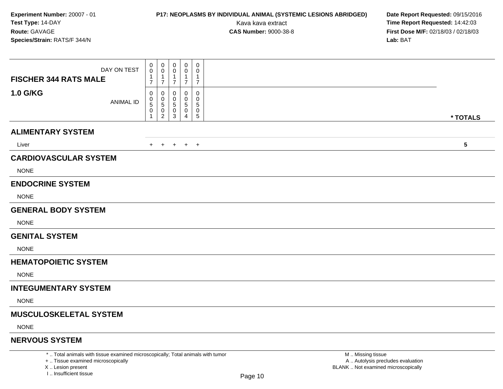## **P17: NEOPLASMS BY INDIVIDUAL ANIMAL (SYSTEMIC LESIONS ABRIDGED) Date Report Requested:** 09/15/2016

Kava kava extract **Time Report Requested:** 14:42:03<br>**CAS Number:** 9000-38-8 **Time Report Requested:** 14:42:03 **First Dose M/F:** 02/18/03 / 02/18/03<br>Lab: BAT **Lab:** BAT

| DAY ON TEST<br><b>FISCHER 344 RATS MALE</b>                                     | 0<br>$\mathbf 0$<br>$\mathbf{1}$<br>$\overline{7}$ | 0<br>0<br>1<br>$\overline{7}$      | 0<br>-1<br>$\overline{7}$ | $\mathbf 0$<br>0<br>$\mathbf{1}$<br>$\overline{7}$ | 0<br>0<br>$\overline{1}$<br>$\overline{7}$ |                   |                 |
|---------------------------------------------------------------------------------|----------------------------------------------------|------------------------------------|---------------------------|----------------------------------------------------|--------------------------------------------|-------------------|-----------------|
| <b>1.0 G/KG</b><br>ANIMAL ID                                                    | 0<br>0<br>5<br>0                                   | 0<br>0<br>5<br>0<br>$\overline{2}$ | 0<br>5<br>0<br>3          | $\Omega$<br>0<br>5<br>0<br>4                       | 0<br>0<br>5<br>$\mathbf 0$<br>$\sqrt{5}$   |                   | * TOTALS        |
| <b>ALIMENTARY SYSTEM</b>                                                        |                                                    |                                    |                           |                                                    |                                            |                   |                 |
| Liver                                                                           |                                                    |                                    |                           | + + + + +                                          |                                            |                   | $5\phantom{.0}$ |
| <b>CARDIOVASCULAR SYSTEM</b>                                                    |                                                    |                                    |                           |                                                    |                                            |                   |                 |
| <b>NONE</b>                                                                     |                                                    |                                    |                           |                                                    |                                            |                   |                 |
| <b>ENDOCRINE SYSTEM</b>                                                         |                                                    |                                    |                           |                                                    |                                            |                   |                 |
| <b>NONE</b>                                                                     |                                                    |                                    |                           |                                                    |                                            |                   |                 |
| <b>GENERAL BODY SYSTEM</b>                                                      |                                                    |                                    |                           |                                                    |                                            |                   |                 |
| <b>NONE</b>                                                                     |                                                    |                                    |                           |                                                    |                                            |                   |                 |
| <b>GENITAL SYSTEM</b>                                                           |                                                    |                                    |                           |                                                    |                                            |                   |                 |
| <b>NONE</b>                                                                     |                                                    |                                    |                           |                                                    |                                            |                   |                 |
| <b>HEMATOPOIETIC SYSTEM</b>                                                     |                                                    |                                    |                           |                                                    |                                            |                   |                 |
| <b>NONE</b>                                                                     |                                                    |                                    |                           |                                                    |                                            |                   |                 |
| <b>INTEGUMENTARY SYSTEM</b>                                                     |                                                    |                                    |                           |                                                    |                                            |                   |                 |
| <b>NONE</b>                                                                     |                                                    |                                    |                           |                                                    |                                            |                   |                 |
| <b>MUSCULOSKELETAL SYSTEM</b>                                                   |                                                    |                                    |                           |                                                    |                                            |                   |                 |
| <b>NONE</b>                                                                     |                                                    |                                    |                           |                                                    |                                            |                   |                 |
| <b>NERVOUS SYSTEM</b>                                                           |                                                    |                                    |                           |                                                    |                                            |                   |                 |
| *  Total animals with tissue examined microscopically; Total animals with tumor |                                                    |                                    |                           |                                                    |                                            | M  Missing tissue |                 |

+ .. Tissue examined microscopically

X .. Lesion present

I .. Insufficient tissue

y the contract of the contract of the contract of the contract of the contract of  $\mathsf A$  . Autolysis precludes evaluation Lesion present BLANK .. Not examined microscopically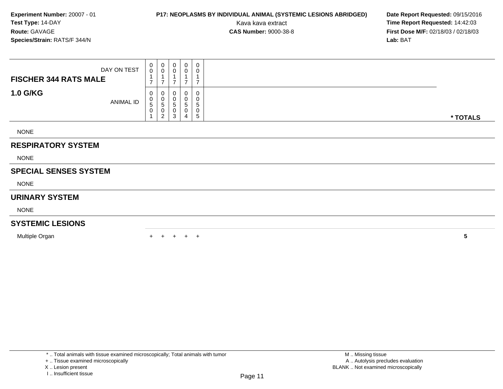## **P17: NEOPLASMS BY INDIVIDUAL ANIMAL (SYSTEMIC LESIONS ABRIDGED) Date Report Requested:** 09/15/2016

Kava kava extract **Time Report Requested:** 14:42:03<br>**CAS Number:** 9000-38-8 **Time Report Requested:** 14:42:03 **First Dose M/F:** 02/18/03 / 02/18/03<br>Lab: BAT **Lab:** BAT

| DAY ON TEST                  | 0<br>$\mathbf 0$                                                | $\mathbf 0$<br>$\pmb{0}$                             | 0<br>$\pmb{0}$           | $\mathbf 0$<br>0                                    | 0<br>$\pmb{0}$                 |          |
|------------------------------|-----------------------------------------------------------------|------------------------------------------------------|--------------------------|-----------------------------------------------------|--------------------------------|----------|
| <b>FISCHER 344 RATS MALE</b> | 1<br>$\overline{7}$                                             | $\overline{7}$                                       | $\overline{ }$           | $\overline{A}$<br>$\overline{7}$                    | $\overline{7}$                 |          |
| <b>1.0 G/KG</b><br>ANIMAL ID | 0<br>$\begin{array}{c} 0 \\ 5 \end{array}$<br>0<br>$\mathbf{1}$ | 0<br>$\pmb{0}$<br>5<br>$\mathbf 0$<br>$\overline{c}$ | $\pmb{0}$<br>5<br>0<br>3 | $\mathbf 0$<br>0<br>$\mathbf 5$<br>$\mathbf 0$<br>4 | 0<br>0<br>$\sqrt{5}$<br>0<br>5 | * TOTALS |
| <b>NONE</b>                  |                                                                 |                                                      |                          |                                                     |                                |          |
| <b>RESPIRATORY SYSTEM</b>    |                                                                 |                                                      |                          |                                                     |                                |          |
| <b>NONE</b>                  |                                                                 |                                                      |                          |                                                     |                                |          |
| <b>SPECIAL SENSES SYSTEM</b> |                                                                 |                                                      |                          |                                                     |                                |          |
| <b>NONE</b>                  |                                                                 |                                                      |                          |                                                     |                                |          |
| <b>URINARY SYSTEM</b>        |                                                                 |                                                      |                          |                                                     |                                |          |
| <b>NONE</b>                  |                                                                 |                                                      |                          |                                                     |                                |          |
| <b>SYSTEMIC LESIONS</b>      |                                                                 |                                                      |                          |                                                     |                                |          |
| Multiple Organ               |                                                                 |                                                      | $+$                      | $+$ $+$                                             |                                | 5        |

<sup>+ ..</sup> Tissue examined microscopically

X .. Lesion present

I .. Insufficient tissue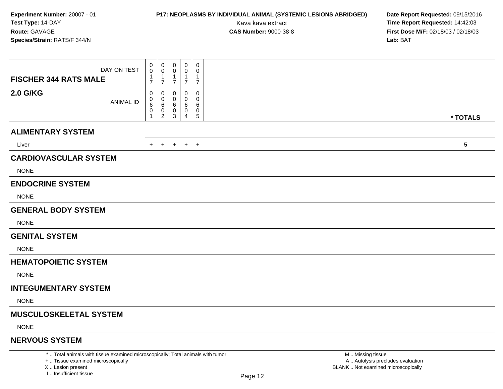## **P17: NEOPLASMS BY INDIVIDUAL ANIMAL (SYSTEMIC LESIONS ABRIDGED) Date Report Requested:** 09/15/2016

Kava kava extract **Time Report Requested:** 14:42:03<br>**CAS Number:** 9000-38-8 **Time Report Requested:** 14:42:03 **First Dose M/F:** 02/18/03 / 02/18/03<br>Lab: BAT **Lab:** BAT

| DAY ON TEST<br><b>FISCHER 344 RATS MALE</b>                                     | 0<br>0<br>-1<br>$\overline{7}$ | $\boldsymbol{0}$<br>0<br>$\mathbf 1$<br>$\overline{7}$ | $\mathbf 0$<br>$\Omega$<br>$\mathbf 1$<br>$\overline{7}$ | $\mathbf 0$<br>$\Omega$<br>1<br>$\overline{7}$ | $\mathbf 0$<br>0<br>$\mathbf{1}$<br>$\overline{7}$ |                   |          |
|---------------------------------------------------------------------------------|--------------------------------|--------------------------------------------------------|----------------------------------------------------------|------------------------------------------------|----------------------------------------------------|-------------------|----------|
| <b>2.0 G/KG</b><br><b>ANIMAL ID</b>                                             | 0<br>0<br>6<br>0               | 0<br>0<br>6<br>$\boldsymbol{0}$<br>$\overline{2}$      | 0<br>0<br>6<br>0<br>3                                    | $\Omega$<br>$\Omega$<br>6<br>0<br>4            | 0<br>0<br>6<br>$\mathbf 0$<br>$\sqrt{5}$           |                   | * TOTALS |
| <b>ALIMENTARY SYSTEM</b>                                                        |                                |                                                        |                                                          |                                                |                                                    |                   |          |
| Liver                                                                           |                                | $+$ $+$                                                |                                                          | $+$ $+$ $+$                                    |                                                    |                   | 5        |
| <b>CARDIOVASCULAR SYSTEM</b>                                                    |                                |                                                        |                                                          |                                                |                                                    |                   |          |
| <b>NONE</b>                                                                     |                                |                                                        |                                                          |                                                |                                                    |                   |          |
| <b>ENDOCRINE SYSTEM</b>                                                         |                                |                                                        |                                                          |                                                |                                                    |                   |          |
| <b>NONE</b>                                                                     |                                |                                                        |                                                          |                                                |                                                    |                   |          |
| <b>GENERAL BODY SYSTEM</b>                                                      |                                |                                                        |                                                          |                                                |                                                    |                   |          |
| <b>NONE</b>                                                                     |                                |                                                        |                                                          |                                                |                                                    |                   |          |
| <b>GENITAL SYSTEM</b>                                                           |                                |                                                        |                                                          |                                                |                                                    |                   |          |
| <b>NONE</b>                                                                     |                                |                                                        |                                                          |                                                |                                                    |                   |          |
| <b>HEMATOPOIETIC SYSTEM</b>                                                     |                                |                                                        |                                                          |                                                |                                                    |                   |          |
| <b>NONE</b>                                                                     |                                |                                                        |                                                          |                                                |                                                    |                   |          |
| <b>INTEGUMENTARY SYSTEM</b>                                                     |                                |                                                        |                                                          |                                                |                                                    |                   |          |
| <b>NONE</b>                                                                     |                                |                                                        |                                                          |                                                |                                                    |                   |          |
| <b>MUSCULOSKELETAL SYSTEM</b>                                                   |                                |                                                        |                                                          |                                                |                                                    |                   |          |
| <b>NONE</b>                                                                     |                                |                                                        |                                                          |                                                |                                                    |                   |          |
| <b>NERVOUS SYSTEM</b>                                                           |                                |                                                        |                                                          |                                                |                                                    |                   |          |
| *  Total animals with tissue examined microscopically; Total animals with tumor |                                |                                                        |                                                          |                                                |                                                    | M  Missing tissue |          |

+ .. Tissue examined microscopically

X .. Lesion present

I .. Insufficient tissue

y the contract of the contract of the contract of the contract of the contract of  $\mathsf A$  . Autolysis precludes evaluation Lesion present BLANK .. Not examined microscopically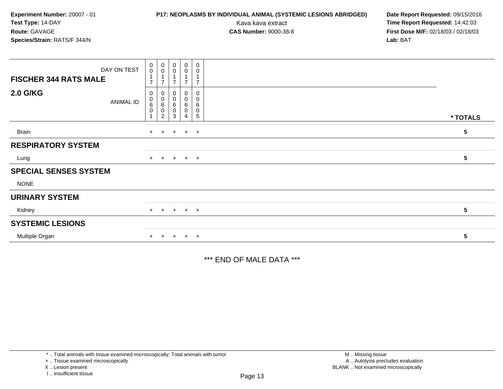## **P17: NEOPLASMS BY INDIVIDUAL ANIMAL (SYSTEMIC LESIONS ABRIDGED) Date Report Requested:** 09/15/2016

Kava kava extract **Time Report Requested:** 14:42:03<br>**CAS Number:** 9000-38-8 **Time Report Requested:** 14:42:03 **First Dose M/F:** 02/18/03 / 02/18/03<br>**Lab:** BAT **Lab:** BAT

| DAY ON TEST                         | $\pmb{0}$<br>$\mathbf 0$                 | $\begin{smallmatrix} 0\\0 \end{smallmatrix}$             | $_{\rm 0}^{\rm 0}$                      | $\begin{smallmatrix} 0\\0 \end{smallmatrix}$ | $\mathbf 0$<br>$\mathbf 0$                   |                 |  |
|-------------------------------------|------------------------------------------|----------------------------------------------------------|-----------------------------------------|----------------------------------------------|----------------------------------------------|-----------------|--|
| <b>FISCHER 344 RATS MALE</b>        | 1<br>$\overline{7}$                      | $\overline{ }$                                           | $\overline{ }$                          | $\overline{ }$                               | $\overline{z}$                               |                 |  |
| <b>2.0 G/KG</b><br><b>ANIMAL ID</b> | $\mathbf 0$<br>$\pmb{0}$<br>6<br>$\,0\,$ | 0<br>$\pmb{0}$<br>$\,6$<br>$\mathbf 0$<br>$\overline{c}$ | $\mathbf 0$<br>$\pmb{0}$<br>6<br>0<br>3 | 0<br>$\pmb{0}$<br>6<br>0<br>4                | 0<br>0<br>$\,6\,$<br>$\pmb{0}$<br>$\sqrt{5}$ | * TOTALS        |  |
| <b>Brain</b>                        |                                          | $+$ $+$                                                  |                                         | $+$ $+$ $+$                                  |                                              | $5\phantom{.0}$ |  |
| <b>RESPIRATORY SYSTEM</b>           |                                          |                                                          |                                         |                                              |                                              |                 |  |
| Lung                                |                                          |                                                          | + + + + +                               |                                              |                                              | $5\phantom{.0}$ |  |
| <b>SPECIAL SENSES SYSTEM</b>        |                                          |                                                          |                                         |                                              |                                              |                 |  |
| <b>NONE</b>                         |                                          |                                                          |                                         |                                              |                                              |                 |  |
| <b>URINARY SYSTEM</b>               |                                          |                                                          |                                         |                                              |                                              |                 |  |
| Kidney                              |                                          | $+$ $+$                                                  |                                         | $+$ $+$ $+$                                  |                                              | $5\phantom{.0}$ |  |
| <b>SYSTEMIC LESIONS</b>             |                                          |                                                          |                                         |                                              |                                              |                 |  |
| Multiple Organ                      | $+$                                      | $+$                                                      | $+$                                     | $+$ $+$                                      |                                              | $5\phantom{.0}$ |  |

\*\*\* END OF MALE DATA \*\*\*

\* .. Total animals with tissue examined microscopically; Total animals with tumor

+ .. Tissue examined microscopically

X .. Lesion present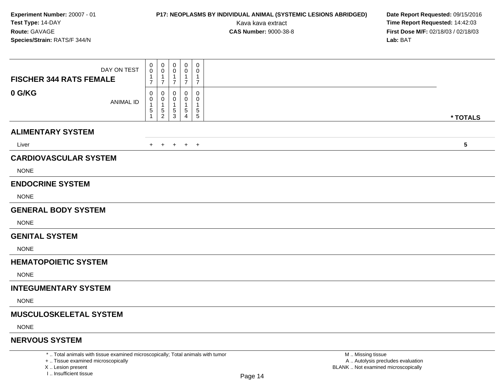## **P17: NEOPLASMS BY INDIVIDUAL ANIMAL (SYSTEMIC LESIONS ABRIDGED) Date Report Requested:** 09/15/2016

Kava kava extract **Time Report Requested:** 14:42:03<br>**CAS Number:** 9000-38-8 **Time Report Requested:** 14:42:03 **First Dose M/F:** 02/18/03 / 02/18/03<br>Lab: BAT **Lab:** BAT

| DAY ON TEST<br><b>FISCHER 344 RATS FEMALE</b>                                   | 0<br>0<br>1<br>$\overline{7}$ | 0<br>0<br>-1<br>$\overline{7}$      | 0<br>$\Omega$<br>$\mathbf 1$<br>$\overline{7}$ | $\mathbf 0$<br>0<br>1<br>$\overline{7}$ | $\mathbf 0$<br>0<br>$\mathbf{1}$<br>$\overline{7}$ |                   |          |
|---------------------------------------------------------------------------------|-------------------------------|-------------------------------------|------------------------------------------------|-----------------------------------------|----------------------------------------------------|-------------------|----------|
| 0 G/KG<br><b>ANIMAL ID</b>                                                      | 0<br>0<br>5                   | 0<br>0<br>-1<br>5<br>$\overline{2}$ | 0<br>0<br>5<br>3                               | 0<br>0<br>1<br>5<br>4                   | 0<br>0<br>1<br>$\,$ 5 $\,$<br>$\sqrt{5}$           |                   |          |
| <b>ALIMENTARY SYSTEM</b>                                                        |                               |                                     |                                                |                                         |                                                    |                   | * TOTALS |
| Liver                                                                           |                               | $+$ $+$                             |                                                | $+$ $+$ $+$                             |                                                    |                   | 5        |
| <b>CARDIOVASCULAR SYSTEM</b>                                                    |                               |                                     |                                                |                                         |                                                    |                   |          |
| <b>NONE</b>                                                                     |                               |                                     |                                                |                                         |                                                    |                   |          |
| <b>ENDOCRINE SYSTEM</b>                                                         |                               |                                     |                                                |                                         |                                                    |                   |          |
| <b>NONE</b>                                                                     |                               |                                     |                                                |                                         |                                                    |                   |          |
| <b>GENERAL BODY SYSTEM</b>                                                      |                               |                                     |                                                |                                         |                                                    |                   |          |
| <b>NONE</b>                                                                     |                               |                                     |                                                |                                         |                                                    |                   |          |
| <b>GENITAL SYSTEM</b>                                                           |                               |                                     |                                                |                                         |                                                    |                   |          |
| <b>NONE</b>                                                                     |                               |                                     |                                                |                                         |                                                    |                   |          |
| <b>HEMATOPOIETIC SYSTEM</b>                                                     |                               |                                     |                                                |                                         |                                                    |                   |          |
| <b>NONE</b>                                                                     |                               |                                     |                                                |                                         |                                                    |                   |          |
| <b>INTEGUMENTARY SYSTEM</b>                                                     |                               |                                     |                                                |                                         |                                                    |                   |          |
| <b>NONE</b>                                                                     |                               |                                     |                                                |                                         |                                                    |                   |          |
| <b>MUSCULOSKELETAL SYSTEM</b>                                                   |                               |                                     |                                                |                                         |                                                    |                   |          |
| <b>NONE</b>                                                                     |                               |                                     |                                                |                                         |                                                    |                   |          |
| <b>NERVOUS SYSTEM</b>                                                           |                               |                                     |                                                |                                         |                                                    |                   |          |
| *  Total animals with tissue examined microscopically; Total animals with tumor |                               |                                     |                                                |                                         |                                                    | M  Missing tissue |          |

+ .. Tissue examined microscopically

X .. Lesion present

I .. Insufficient tissue

 M .. Missing tissue A .. Autolysis precludes evaluationLesion present BLANK .. Not examined microscopically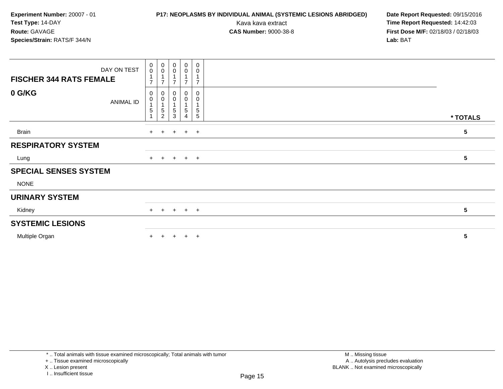## **P17: NEOPLASMS BY INDIVIDUAL ANIMAL (SYSTEMIC LESIONS ABRIDGED) Date Report Requested:** 09/15/2016

Kava kava extract **Time Report Requested:** 14:42:03<br>**CAS Number:** 9000-38-8 **Time Report Requested:** 14:42:03 **First Dose M/F:** 02/18/03 / 02/18/03<br>Lab: BAT **Lab:** BAT

| DAY ON TEST<br><b>FISCHER 344 RATS FEMALE</b> | $_{\rm 0}^{\rm 0}$<br>$\overline{ }$ | $\begin{smallmatrix} 0\\0 \end{smallmatrix}$<br>$\overline{ }$ | $\begin{smallmatrix} 0\\0 \end{smallmatrix}$<br>$\overline{ }$ | $_{\rm 0}^{\rm 0}$<br>1<br>$\overline{7}$  | $\overline{0}$<br>$\pmb{0}$<br>$\mathbf{1}$<br>$\overline{7}$    |                 |
|-----------------------------------------------|--------------------------------------|----------------------------------------------------------------|----------------------------------------------------------------|--------------------------------------------|------------------------------------------------------------------|-----------------|
| 0 G/KG<br><b>ANIMAL ID</b>                    | 0<br>$\pmb{0}$<br>5                  | 0<br>0<br>5<br>$\overline{c}$                                  | $\,0\,$<br>0<br>$\overline{A}$<br>5<br>3                       | 0<br>$\pmb{0}$<br>1<br>5<br>$\overline{4}$ | $\mathbf 0$<br>$\mathbf 0$<br>1<br>$\sqrt{5}$<br>$5\phantom{.0}$ | * TOTALS        |
| Brain                                         | $+$                                  | $+$                                                            | $+$                                                            | $+$ $+$                                    |                                                                  | 5               |
| <b>RESPIRATORY SYSTEM</b>                     |                                      |                                                                |                                                                |                                            |                                                                  |                 |
| Lung                                          | $+$                                  |                                                                | $+$ $+$ $+$ $+$                                                |                                            |                                                                  | 5               |
| <b>SPECIAL SENSES SYSTEM</b>                  |                                      |                                                                |                                                                |                                            |                                                                  |                 |
| <b>NONE</b>                                   |                                      |                                                                |                                                                |                                            |                                                                  |                 |
| <b>URINARY SYSTEM</b>                         |                                      |                                                                |                                                                |                                            |                                                                  |                 |
| Kidney                                        |                                      |                                                                | + + + + +                                                      |                                            |                                                                  | $5\phantom{.0}$ |
| <b>SYSTEMIC LESIONS</b>                       |                                      |                                                                |                                                                |                                            |                                                                  |                 |
| Multiple Organ                                | $+$                                  | $+$                                                            | $+$                                                            | $+$                                        | $+$                                                              | 5               |

\* .. Total animals with tissue examined microscopically; Total animals with tumor

+ .. Tissue examined microscopically

X .. Lesion present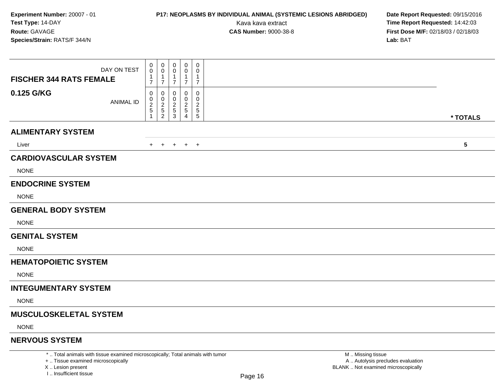## **P17: NEOPLASMS BY INDIVIDUAL ANIMAL (SYSTEMIC LESIONS ABRIDGED) Date Report Requested:** 09/15/2016

Kava kava extract **Time Report Requested:** 14:42:03<br>**CAS Number:** 9000-38-8 **Time Report Requested:** 14:42:03 **First Dose M/F:** 02/18/03 / 02/18/03<br>Lab: BAT **Lab:** BAT

| DAY ON TEST<br><b>FISCHER 344 RATS FEMALE</b>                                   | 0<br>0<br>1<br>$\overline{7}$ | 0<br>0<br>1<br>$\overline{7}$                             | 0<br>0<br>$\mathbf 1$<br>$\overline{7}$   | $\mathbf 0$<br>0<br>$\mathbf 1$<br>$\overline{7}$ | 0<br>0<br>$\mathbf{1}$<br>$\overline{7}$             |                   |                 |
|---------------------------------------------------------------------------------|-------------------------------|-----------------------------------------------------------|-------------------------------------------|---------------------------------------------------|------------------------------------------------------|-------------------|-----------------|
| 0.125 G/KG<br><b>ANIMAL ID</b>                                                  | 0<br>0<br>$\overline{c}$<br>5 | 0<br>$\mathbf 0$<br>$\overline{c}$<br>5<br>$\overline{2}$ | 0<br>$\Omega$<br>2<br>$\overline{5}$<br>3 | $\Omega$<br>$\Omega$<br>2<br>5<br>4               | 0<br>0<br>$\overline{2}$<br>$\sqrt{5}$<br>$\sqrt{5}$ |                   | * TOTALS        |
| <b>ALIMENTARY SYSTEM</b>                                                        |                               |                                                           |                                           |                                                   |                                                      |                   |                 |
| Liver                                                                           | $+$                           | $+$                                                       |                                           | $+$ $+$ $+$                                       |                                                      |                   | $5\phantom{.0}$ |
| <b>CARDIOVASCULAR SYSTEM</b>                                                    |                               |                                                           |                                           |                                                   |                                                      |                   |                 |
| <b>NONE</b>                                                                     |                               |                                                           |                                           |                                                   |                                                      |                   |                 |
| <b>ENDOCRINE SYSTEM</b>                                                         |                               |                                                           |                                           |                                                   |                                                      |                   |                 |
| <b>NONE</b>                                                                     |                               |                                                           |                                           |                                                   |                                                      |                   |                 |
| <b>GENERAL BODY SYSTEM</b>                                                      |                               |                                                           |                                           |                                                   |                                                      |                   |                 |
| <b>NONE</b>                                                                     |                               |                                                           |                                           |                                                   |                                                      |                   |                 |
| <b>GENITAL SYSTEM</b>                                                           |                               |                                                           |                                           |                                                   |                                                      |                   |                 |
| <b>NONE</b>                                                                     |                               |                                                           |                                           |                                                   |                                                      |                   |                 |
| <b>HEMATOPOIETIC SYSTEM</b>                                                     |                               |                                                           |                                           |                                                   |                                                      |                   |                 |
| <b>NONE</b>                                                                     |                               |                                                           |                                           |                                                   |                                                      |                   |                 |
| <b>INTEGUMENTARY SYSTEM</b>                                                     |                               |                                                           |                                           |                                                   |                                                      |                   |                 |
| <b>NONE</b>                                                                     |                               |                                                           |                                           |                                                   |                                                      |                   |                 |
| <b>MUSCULOSKELETAL SYSTEM</b>                                                   |                               |                                                           |                                           |                                                   |                                                      |                   |                 |
| <b>NONE</b>                                                                     |                               |                                                           |                                           |                                                   |                                                      |                   |                 |
| <b>NERVOUS SYSTEM</b>                                                           |                               |                                                           |                                           |                                                   |                                                      |                   |                 |
| *  Total animals with tissue examined microscopically; Total animals with tumor |                               |                                                           |                                           |                                                   |                                                      | M  Missing tissue |                 |

+ .. Tissue examined microscopically

X .. Lesion present

I .. Insufficient tissue

 M .. Missing tissuey the contract of the contract of the contract of the contract of the contract of  $\mathsf A$  . Autolysis precludes evaluation Lesion present BLANK .. Not examined microscopically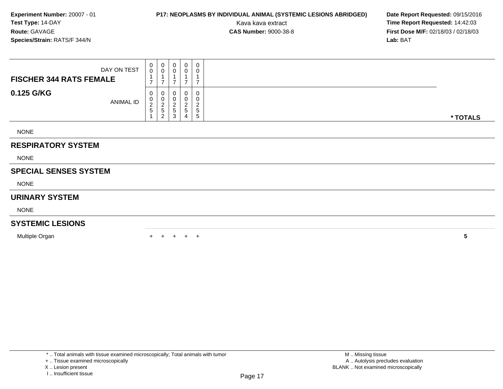## **P17: NEOPLASMS BY INDIVIDUAL ANIMAL (SYSTEMIC LESIONS ABRIDGED) Date Report Requested:** 09/15/2016

Kava kava extract **Time Report Requested:** 14:42:03<br>**CAS Number:** 9000-38-8 **Time Report Requested:** 14:42:03 **First Dose M/F:** 02/18/03 / 02/18/03<br>**Lab:** BAT **Lab:** BAT

| DAY ON TEST                    | $\begin{smallmatrix}0\0\0\end{smallmatrix}$     | $\begin{smallmatrix}0\\0\end{smallmatrix}$   | $\pmb{0}$<br>0                                      | 0<br>0                       | 0<br>0                                              |          |
|--------------------------------|-------------------------------------------------|----------------------------------------------|-----------------------------------------------------|------------------------------|-----------------------------------------------------|----------|
| <b>FISCHER 344 RATS FEMALE</b> | $\overline{ }$                                  | 1<br>$\overline{ }$                          | ⇁                                                   | $\overline{ }$               | ⇁                                                   |          |
| 0.125 G/KG<br><b>ANIMAL ID</b> | 0<br>$\begin{array}{c} 0 \\ 2 \\ 5 \end{array}$ | $\pmb{0}$<br>$\frac{0}{2}$<br>$\overline{c}$ | 0<br>$\pmb{0}$<br>$\overline{\mathbf{c}}$<br>5<br>3 | $\overline{\mathbf{c}}$<br>5 | $\pmb{0}$<br>0<br>$\overline{c}$<br>$\sqrt{5}$<br>5 | * TOTALS |
| <b>NONE</b>                    |                                                 |                                              |                                                     |                              |                                                     |          |
| <b>RESPIRATORY SYSTEM</b>      |                                                 |                                              |                                                     |                              |                                                     |          |
| <b>NONE</b>                    |                                                 |                                              |                                                     |                              |                                                     |          |
| <b>SPECIAL SENSES SYSTEM</b>   |                                                 |                                              |                                                     |                              |                                                     |          |
| <b>NONE</b>                    |                                                 |                                              |                                                     |                              |                                                     |          |
| <b>URINARY SYSTEM</b>          |                                                 |                                              |                                                     |                              |                                                     |          |
| <b>NONE</b>                    |                                                 |                                              |                                                     |                              |                                                     |          |
| <b>SYSTEMIC LESIONS</b>        |                                                 |                                              |                                                     |                              |                                                     |          |
| Multiple Organ                 |                                                 |                                              | $+$                                                 |                              | $+$ $+$                                             | 5        |

\* .. Total animals with tissue examined microscopically; Total animals with tumor

X .. Lesion present

<sup>+ ..</sup> Tissue examined microscopically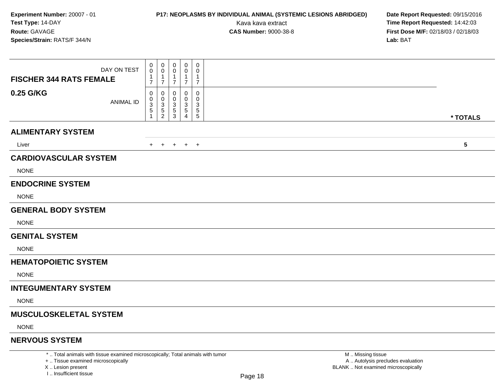## **P17: NEOPLASMS BY INDIVIDUAL ANIMAL (SYSTEMIC LESIONS ABRIDGED) Date Report Requested:** 09/15/2016

Kava kava extract **Time Report Requested:** 14:42:03<br>**CAS Number:** 9000-38-8 **Time Report Requested:** 14:42:03 **First Dose M/F:** 02/18/03 / 02/18/03<br>Lab: BAT **Lab:** BAT

| DAY ON TEST<br><b>FISCHER 344 RATS FEMALE</b>                                   | 0<br>0<br>1<br>$\overline{7}$ | $\pmb{0}$<br>0<br>1<br>$\overline{7}$        | 0<br>$\Omega$<br>-1<br>$\overline{7}$                  | $\mathbf 0$<br>0<br>$\mathbf{1}$<br>$\overline{7}$ | 0<br>0<br>$\mathbf{1}$<br>$\overline{7}$ |                   |          |
|---------------------------------------------------------------------------------|-------------------------------|----------------------------------------------|--------------------------------------------------------|----------------------------------------------------|------------------------------------------|-------------------|----------|
| 0.25 G/KG<br><b>ANIMAL ID</b>                                                   | 0<br>0<br>3<br>5              | 0<br>0<br>3<br>$\,$ 5 $\,$<br>$\overline{c}$ | 0<br>$\Omega$<br>3<br>$\overline{5}$<br>$\mathfrak{S}$ | 0<br>$\Omega$<br>3<br>5<br>4                       | 0<br>0<br>3<br>$\sqrt{5}$<br>$\sqrt{5}$  |                   | * TOTALS |
| <b>ALIMENTARY SYSTEM</b>                                                        |                               |                                              |                                                        |                                                    |                                          |                   |          |
| Liver                                                                           |                               | $+$ $+$                                      |                                                        | $+$ $+$ $+$                                        |                                          |                   | 5        |
| <b>CARDIOVASCULAR SYSTEM</b>                                                    |                               |                                              |                                                        |                                                    |                                          |                   |          |
| <b>NONE</b>                                                                     |                               |                                              |                                                        |                                                    |                                          |                   |          |
| <b>ENDOCRINE SYSTEM</b>                                                         |                               |                                              |                                                        |                                                    |                                          |                   |          |
| <b>NONE</b>                                                                     |                               |                                              |                                                        |                                                    |                                          |                   |          |
| <b>GENERAL BODY SYSTEM</b>                                                      |                               |                                              |                                                        |                                                    |                                          |                   |          |
| <b>NONE</b>                                                                     |                               |                                              |                                                        |                                                    |                                          |                   |          |
| <b>GENITAL SYSTEM</b>                                                           |                               |                                              |                                                        |                                                    |                                          |                   |          |
| <b>NONE</b>                                                                     |                               |                                              |                                                        |                                                    |                                          |                   |          |
| <b>HEMATOPOIETIC SYSTEM</b>                                                     |                               |                                              |                                                        |                                                    |                                          |                   |          |
| <b>NONE</b>                                                                     |                               |                                              |                                                        |                                                    |                                          |                   |          |
| <b>INTEGUMENTARY SYSTEM</b>                                                     |                               |                                              |                                                        |                                                    |                                          |                   |          |
| <b>NONE</b>                                                                     |                               |                                              |                                                        |                                                    |                                          |                   |          |
| <b>MUSCULOSKELETAL SYSTEM</b>                                                   |                               |                                              |                                                        |                                                    |                                          |                   |          |
| <b>NONE</b>                                                                     |                               |                                              |                                                        |                                                    |                                          |                   |          |
| <b>NERVOUS SYSTEM</b>                                                           |                               |                                              |                                                        |                                                    |                                          |                   |          |
| *  Total animals with tissue examined microscopically; Total animals with tumor |                               |                                              |                                                        |                                                    |                                          | M  Missing tissue |          |

+ .. Tissue examined microscopically

X .. Lesion present

I .. Insufficient tissue

 M .. Missing tissue A .. Autolysis precludes evaluationLesion present BLANK .. Not examined microscopically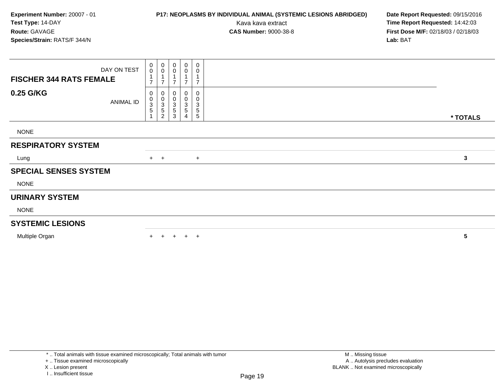DAY ON TEST**FISCHER 344 RATS FEMALE**0 0 1 70 0 1 70 0 1 70 0 1 70 0 1 7**0.25 G/KG**ANIMAL ID0<br>0<br>3<br>5<br>1 0 0 3 5 20 0 3 5 30 0 3 5 40 0 3 5 5 **\* TOTALS**NONE**RESPIRATORY SYSTEM**Lungg  $\rightarrow$  <sup>+</sup> <sup>+</sup> **<sup>3</sup> SPECIAL SENSES SYSTEM**NONE**URINARY SYSTEM**NONE**SYSTEMIC LESIONSExperiment Number:** 20007 - 01**P17: NEOPLASMS BY INDIVIDUAL ANIMAL (SYSTEMIC LESIONS ABRIDGED) Date Report Requested: 09/15/2016<br>Kava kava extract <b>Time Report Requested: 14:42:03 Test Type:** 14-DAYKava kava extract **Time Report Requested:** 14:42:03<br>**CAS Number:** 9000-38-8 **Time Report Requested:** 14:42:03 **Route:** GAVAGE**First Dose M/F:** 02/18/03 / 02/18/03<br>**Lab:** BAT **Species/Strain:** RATS/F 344/N**Lab:** BAT

Multiple Organ

n  $+$ <sup>+</sup> <sup>+</sup> <sup>+</sup> <sup>+</sup> **<sup>5</sup>**

\* .. Total animals with tissue examined microscopically; Total animals with tumor

+ .. Tissue examined microscopically

X .. Lesion present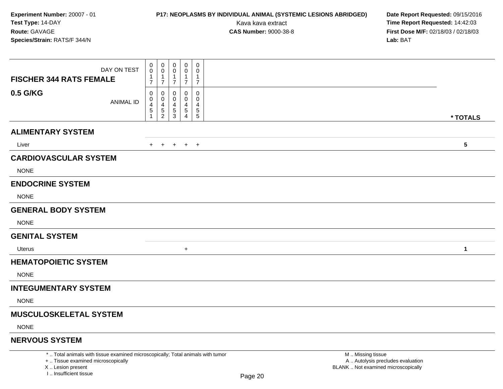# **P17: NEOPLASMS BY INDIVIDUAL ANIMAL (SYSTEMIC LESIONS ABRIDGED) Date Report Requested:** 09/15/2016

Kava kava extract **Time Report Requested:** 14:42:03<br>**CAS Number:** 9000-38-8 **Time Report Requested:** 14:42:03 **First Dose M/F:** 02/18/03 / 02/18/03<br>Lab: BAT **Lab:** BAT

| DAY ON TEST<br><b>FISCHER 344 RATS FEMALE</b>                                                                         | 0<br>$\mathbf 0$<br>$\mathbf{1}$<br>$\overline{7}$ | $\mathbf 0$<br>0<br>$\mathbf{1}$<br>$\overline{7}$ | 0<br>0<br>$\mathbf{1}$<br>$\overline{7}$ | $\mathbf 0$<br>$\tilde{0}$<br>$\mathbf 1$<br>$\overline{7}$ | $\mathbf 0$<br>0<br>$\mathbf{1}$<br>$\overline{7}$            |                                                        |                 |
|-----------------------------------------------------------------------------------------------------------------------|----------------------------------------------------|----------------------------------------------------|------------------------------------------|-------------------------------------------------------------|---------------------------------------------------------------|--------------------------------------------------------|-----------------|
| 0.5 G/KG<br><b>ANIMAL ID</b>                                                                                          | $\mathbf 0$<br>0<br>$\overline{4}$<br>5            | 0<br>0<br>4<br>$\frac{5}{2}$                       | 0<br>0<br>4<br>$\frac{5}{3}$             | 0<br>0<br>4<br>$\frac{5}{4}$                                | $\mathbf 0$<br>$\mathbf 0$<br>$\overline{4}$<br>$\frac{5}{5}$ |                                                        |                 |
|                                                                                                                       | -1                                                 |                                                    |                                          |                                                             |                                                               |                                                        | * TOTALS        |
| <b>ALIMENTARY SYSTEM</b>                                                                                              |                                                    |                                                    |                                          |                                                             |                                                               |                                                        |                 |
| Liver                                                                                                                 | $+$                                                | $+$                                                | $+$                                      | $+$ $+$                                                     |                                                               |                                                        | $5\phantom{.0}$ |
| <b>CARDIOVASCULAR SYSTEM</b>                                                                                          |                                                    |                                                    |                                          |                                                             |                                                               |                                                        |                 |
| <b>NONE</b>                                                                                                           |                                                    |                                                    |                                          |                                                             |                                                               |                                                        |                 |
| <b>ENDOCRINE SYSTEM</b>                                                                                               |                                                    |                                                    |                                          |                                                             |                                                               |                                                        |                 |
| <b>NONE</b>                                                                                                           |                                                    |                                                    |                                          |                                                             |                                                               |                                                        |                 |
| <b>GENERAL BODY SYSTEM</b>                                                                                            |                                                    |                                                    |                                          |                                                             |                                                               |                                                        |                 |
| <b>NONE</b>                                                                                                           |                                                    |                                                    |                                          |                                                             |                                                               |                                                        |                 |
| <b>GENITAL SYSTEM</b>                                                                                                 |                                                    |                                                    |                                          |                                                             |                                                               |                                                        |                 |
| Uterus                                                                                                                |                                                    |                                                    |                                          | $+$                                                         |                                                               |                                                        | $\mathbf{1}$    |
| <b>HEMATOPOIETIC SYSTEM</b>                                                                                           |                                                    |                                                    |                                          |                                                             |                                                               |                                                        |                 |
| <b>NONE</b>                                                                                                           |                                                    |                                                    |                                          |                                                             |                                                               |                                                        |                 |
| <b>INTEGUMENTARY SYSTEM</b>                                                                                           |                                                    |                                                    |                                          |                                                             |                                                               |                                                        |                 |
| <b>NONE</b>                                                                                                           |                                                    |                                                    |                                          |                                                             |                                                               |                                                        |                 |
| <b>MUSCULOSKELETAL SYSTEM</b>                                                                                         |                                                    |                                                    |                                          |                                                             |                                                               |                                                        |                 |
| <b>NONE</b>                                                                                                           |                                                    |                                                    |                                          |                                                             |                                                               |                                                        |                 |
| <b>NERVOUS SYSTEM</b>                                                                                                 |                                                    |                                                    |                                          |                                                             |                                                               |                                                        |                 |
| *  Total animals with tissue examined microscopically; Total animals with tumor<br>+  Tissue examined microscopically |                                                    |                                                    |                                          |                                                             |                                                               | M  Missing tissue<br>A  Autolysis precludes evaluation |                 |

X .. Lesion present

I .. Insufficient tissue

Lesion present BLANK .. Not examined microscopically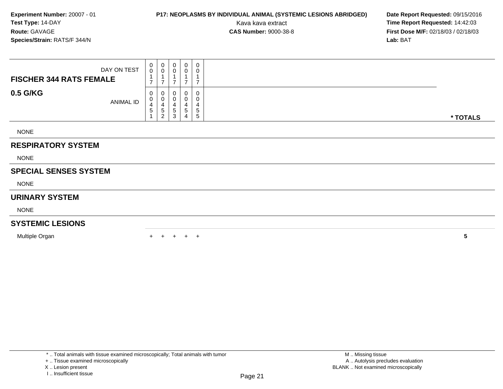## **P17: NEOPLASMS BY INDIVIDUAL ANIMAL (SYSTEMIC LESIONS ABRIDGED) Date Report Requested:** 09/15/2016

Kava kava extract **Time Report Requested:** 14:42:03<br>**CAS Number:** 9000-38-8 **Time Report Requested:** 14:42:03 **First Dose M/F:** 02/18/03 / 02/18/03<br>**Lab:** BAT **Lab:** BAT

| DAY ON TEST                    | $\begin{smallmatrix}0\0\0\end{smallmatrix}$ | $\begin{smallmatrix}0\\0\end{smallmatrix}$                   | 0<br>$\mathbf 0$              | 0<br>0         | $\pmb{0}$<br>0                                        |          |
|--------------------------------|---------------------------------------------|--------------------------------------------------------------|-------------------------------|----------------|-------------------------------------------------------|----------|
| <b>FISCHER 344 RATS FEMALE</b> | $\overline{ }$                              | $\overline{ }$<br>$\overline{7}$                             |                               | $\overline{7}$ | $\overline{ }$                                        |          |
| 0.5 G/KG<br><b>ANIMAL ID</b>   | 0<br>0<br>4<br>5                            | 0<br>$\overline{0}$<br>$\overline{4}$<br>5<br>$\overline{c}$ | 0<br>$\pmb{0}$<br>4<br>5<br>3 | 4<br>5         | $\mathbf 0$<br>0<br>$\overline{4}$<br>$\sqrt{5}$<br>5 | * TOTALS |
| <b>NONE</b>                    |                                             |                                                              |                               |                |                                                       |          |
| <b>RESPIRATORY SYSTEM</b>      |                                             |                                                              |                               |                |                                                       |          |
| <b>NONE</b>                    |                                             |                                                              |                               |                |                                                       |          |
| <b>SPECIAL SENSES SYSTEM</b>   |                                             |                                                              |                               |                |                                                       |          |
| <b>NONE</b>                    |                                             |                                                              |                               |                |                                                       |          |
| <b>URINARY SYSTEM</b>          |                                             |                                                              |                               |                |                                                       |          |
| <b>NONE</b>                    |                                             |                                                              |                               |                |                                                       |          |
| <b>SYSTEMIC LESIONS</b>        |                                             |                                                              |                               |                |                                                       |          |
| Multiple Organ                 |                                             |                                                              | $+$                           | $+$ $+$        |                                                       | 5        |

\* .. Total animals with tissue examined microscopically; Total animals with tumor

X .. Lesion present

<sup>+ ..</sup> Tissue examined microscopically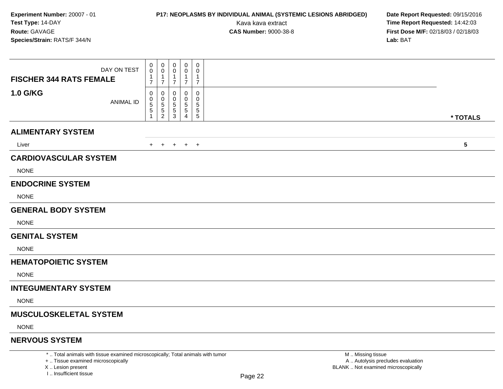## **P17: NEOPLASMS BY INDIVIDUAL ANIMAL (SYSTEMIC LESIONS ABRIDGED) Date Report Requested:** 09/15/2016

Kava kava extract **Time Report Requested:** 14:42:03<br>**CAS Number:** 9000-38-8 **Time Report Requested:** 14:42:03 **First Dose M/F:** 02/18/03 / 02/18/03<br>Lab: BAT **Lab:** BAT

| DAY ON TEST<br><b>FISCHER 344 RATS FEMALE</b>                                   | 0<br>0<br>1<br>$\overline{7}$ | $\pmb{0}$<br>0<br>-1<br>$\overline{7}$       | 0<br>$\Omega$<br>-1<br>$\overline{7}$                  | $\mathbf 0$<br>0<br>$\mathbf{1}$<br>$\overline{7}$ | 0<br>0<br>$\mathbf{1}$<br>$\overline{7}$ |                   |          |
|---------------------------------------------------------------------------------|-------------------------------|----------------------------------------------|--------------------------------------------------------|----------------------------------------------------|------------------------------------------|-------------------|----------|
| <b>1.0 G/KG</b><br><b>ANIMAL ID</b>                                             | 0<br>0<br>5<br>5              | 0<br>0<br>5<br>$\,$ 5 $\,$<br>$\overline{c}$ | 0<br>$\Omega$<br>5<br>$\overline{5}$<br>$\mathfrak{S}$ | 0<br>$\Omega$<br>5<br>5<br>4                       | 0<br>0<br>5<br>$\sqrt{5}$<br>$\sqrt{5}$  |                   | * TOTALS |
| <b>ALIMENTARY SYSTEM</b>                                                        |                               |                                              |                                                        |                                                    |                                          |                   |          |
| Liver                                                                           |                               | $+$ $+$                                      |                                                        | $+$ $+$ $+$                                        |                                          |                   | 5        |
| <b>CARDIOVASCULAR SYSTEM</b>                                                    |                               |                                              |                                                        |                                                    |                                          |                   |          |
| <b>NONE</b>                                                                     |                               |                                              |                                                        |                                                    |                                          |                   |          |
| <b>ENDOCRINE SYSTEM</b>                                                         |                               |                                              |                                                        |                                                    |                                          |                   |          |
| <b>NONE</b>                                                                     |                               |                                              |                                                        |                                                    |                                          |                   |          |
| <b>GENERAL BODY SYSTEM</b>                                                      |                               |                                              |                                                        |                                                    |                                          |                   |          |
| <b>NONE</b>                                                                     |                               |                                              |                                                        |                                                    |                                          |                   |          |
| <b>GENITAL SYSTEM</b>                                                           |                               |                                              |                                                        |                                                    |                                          |                   |          |
| <b>NONE</b>                                                                     |                               |                                              |                                                        |                                                    |                                          |                   |          |
| <b>HEMATOPOIETIC SYSTEM</b>                                                     |                               |                                              |                                                        |                                                    |                                          |                   |          |
| <b>NONE</b>                                                                     |                               |                                              |                                                        |                                                    |                                          |                   |          |
| <b>INTEGUMENTARY SYSTEM</b>                                                     |                               |                                              |                                                        |                                                    |                                          |                   |          |
| <b>NONE</b>                                                                     |                               |                                              |                                                        |                                                    |                                          |                   |          |
| <b>MUSCULOSKELETAL SYSTEM</b>                                                   |                               |                                              |                                                        |                                                    |                                          |                   |          |
| <b>NONE</b>                                                                     |                               |                                              |                                                        |                                                    |                                          |                   |          |
| <b>NERVOUS SYSTEM</b>                                                           |                               |                                              |                                                        |                                                    |                                          |                   |          |
| *  Total animals with tissue examined microscopically; Total animals with tumor |                               |                                              |                                                        |                                                    |                                          | M  Missing tissue |          |

+ .. Tissue examined microscopically

X .. Lesion present

I .. Insufficient tissue

 M .. Missing tissuey the contract of the contract of the contract of the contract of the contract of  $\mathsf A$  . Autolysis precludes evaluation Lesion present BLANK .. Not examined microscopically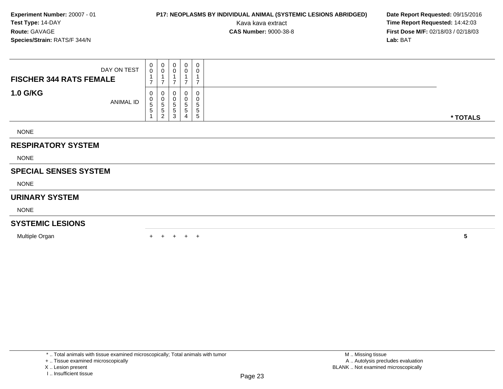## **P17: NEOPLASMS BY INDIVIDUAL ANIMAL (SYSTEMIC LESIONS ABRIDGED) Date Report Requested:** 09/15/2016

Kava kava extract **Time Report Requested:** 14:42:03<br>**CAS Number:** 9000-38-8 **Time Report Requested:** 14:42:03 **First Dose M/F:** 02/18/03 / 02/18/03<br>Lab: BAT **Lab:** BAT

| DAY ON TEST                    |                  | $\begin{smallmatrix}0\0\0\end{smallmatrix}$           | $\begin{smallmatrix}0\\0\end{smallmatrix}$                     | 0<br>$\mathbf 0$              | 0<br>0         | $\pmb{0}$<br>0                       |          |
|--------------------------------|------------------|-------------------------------------------------------|----------------------------------------------------------------|-------------------------------|----------------|--------------------------------------|----------|
| <b>FISCHER 344 RATS FEMALE</b> |                  | $\overline{ }$                                        | $\overline{ }$<br>$\overline{7}$                               |                               | $\overline{7}$ | $\overline{ }$                       |          |
| <b>1.0 G/KG</b>                | <b>ANIMAL ID</b> | 0<br>$\begin{smallmatrix}0\0\5\end{smallmatrix}$<br>5 | $\boldsymbol{0}$<br>$\overline{0}$<br>5<br>5<br>$\overline{c}$ | 0<br>$\pmb{0}$<br>5<br>5<br>3 | 5<br>5         | $\boldsymbol{0}$<br>0<br>5<br>5<br>5 | * TOTALS |
| <b>NONE</b>                    |                  |                                                       |                                                                |                               |                |                                      |          |
| <b>RESPIRATORY SYSTEM</b>      |                  |                                                       |                                                                |                               |                |                                      |          |
| <b>NONE</b>                    |                  |                                                       |                                                                |                               |                |                                      |          |
| <b>SPECIAL SENSES SYSTEM</b>   |                  |                                                       |                                                                |                               |                |                                      |          |
| <b>NONE</b>                    |                  |                                                       |                                                                |                               |                |                                      |          |
| <b>URINARY SYSTEM</b>          |                  |                                                       |                                                                |                               |                |                                      |          |
| <b>NONE</b>                    |                  |                                                       |                                                                |                               |                |                                      |          |
| <b>SYSTEMIC LESIONS</b>        |                  |                                                       |                                                                |                               |                |                                      |          |
| Multiple Organ                 |                  |                                                       |                                                                | $+$                           | $+$ $+$        |                                      | 5        |

\* .. Total animals with tissue examined microscopically; Total animals with tumor

+ .. Tissue examined microscopically

X .. Lesion present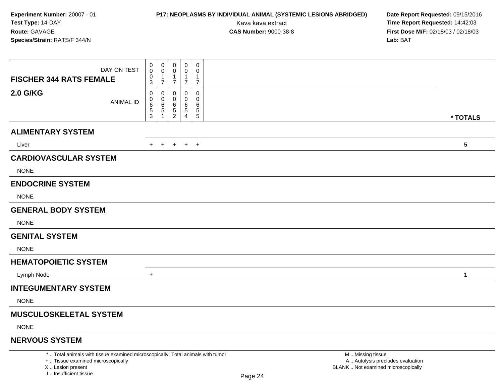## **P17: NEOPLASMS BY INDIVIDUAL ANIMAL (SYSTEMIC LESIONS ABRIDGED) Date Report Requested:** 09/15/2016

Kava kava extract **Time Report Requested:** 14:42:03<br>**CAS Number:** 9000-38-8 **Time Report Requested:** 14:42:03 **First Dose M/F:** 02/18/03 / 02/18/03<br>Lab: BAT **Lab:** BAT

| DAY ON TEST<br><b>FISCHER 344 RATS FEMALE</b> | $\pmb{0}$<br>$\mathbf 0$<br>0<br>3 | 0<br>0<br>$\overline{7}$ | 0<br>0<br>$\overline{7}$           | 0<br>0<br>$\overline{7}$ | 0<br>0<br>$\mathbf{1}$<br>$\overline{7}$ |                         |
|-----------------------------------------------|------------------------------------|--------------------------|------------------------------------|--------------------------|------------------------------------------|-------------------------|
| <b>2.0 G/KG</b><br><b>ANIMAL ID</b>           | 0<br>0<br>6<br>$\mathbf 5$<br>3    | 0<br>0<br>6<br>5         | 0<br>0<br>6<br>5<br>$\overline{2}$ | 0<br>0<br>6<br>5<br>Δ    | 0<br>0<br>6<br>$\sqrt{5}$<br>$\sqrt{5}$  | * TOTALS                |
| <b>ALIMENTARY SYSTEM</b>                      |                                    |                          |                                    |                          |                                          |                         |
| Liver                                         | $+$                                | $\overline{+}$           | $+$                                | $+$ $+$                  |                                          | $\overline{\mathbf{5}}$ |
| <b>CARDIOVASCULAR SYSTEM</b>                  |                                    |                          |                                    |                          |                                          |                         |
| <b>NONE</b>                                   |                                    |                          |                                    |                          |                                          |                         |
| <b>ENDOCRINE SYSTEM</b>                       |                                    |                          |                                    |                          |                                          |                         |
| <b>NONE</b>                                   |                                    |                          |                                    |                          |                                          |                         |
| <b>GENERAL BODY SYSTEM</b>                    |                                    |                          |                                    |                          |                                          |                         |
| <b>NONE</b>                                   |                                    |                          |                                    |                          |                                          |                         |
| <b>GENITAL SYSTEM</b>                         |                                    |                          |                                    |                          |                                          |                         |
| <b>NONE</b>                                   |                                    |                          |                                    |                          |                                          |                         |
| <b>HEMATOPOIETIC SYSTEM</b>                   |                                    |                          |                                    |                          |                                          |                         |
| Lymph Node                                    | $\ddot{}$                          |                          |                                    |                          |                                          | $\mathbf{1}$            |
| <b>INTEGUMENTARY SYSTEM</b>                   |                                    |                          |                                    |                          |                                          |                         |
| <b>NONE</b>                                   |                                    |                          |                                    |                          |                                          |                         |
| <b>MUSCULOSKELETAL SYSTEM</b>                 |                                    |                          |                                    |                          |                                          |                         |
| <b>NONE</b>                                   |                                    |                          |                                    |                          |                                          |                         |
| <b>NERVOUS SYSTEM</b>                         |                                    |                          |                                    |                          |                                          |                         |

\* .. Total animals with tissue examined microscopically; Total animals with tumor

+ .. Tissue examined microscopically

X .. Lesion present

I .. Insufficient tissue

 M .. Missing tissuey the contract of the contract of the contract of the contract of the contract of  $\mathsf A$  . Autolysis precludes evaluation Lesion present BLANK .. Not examined microscopically